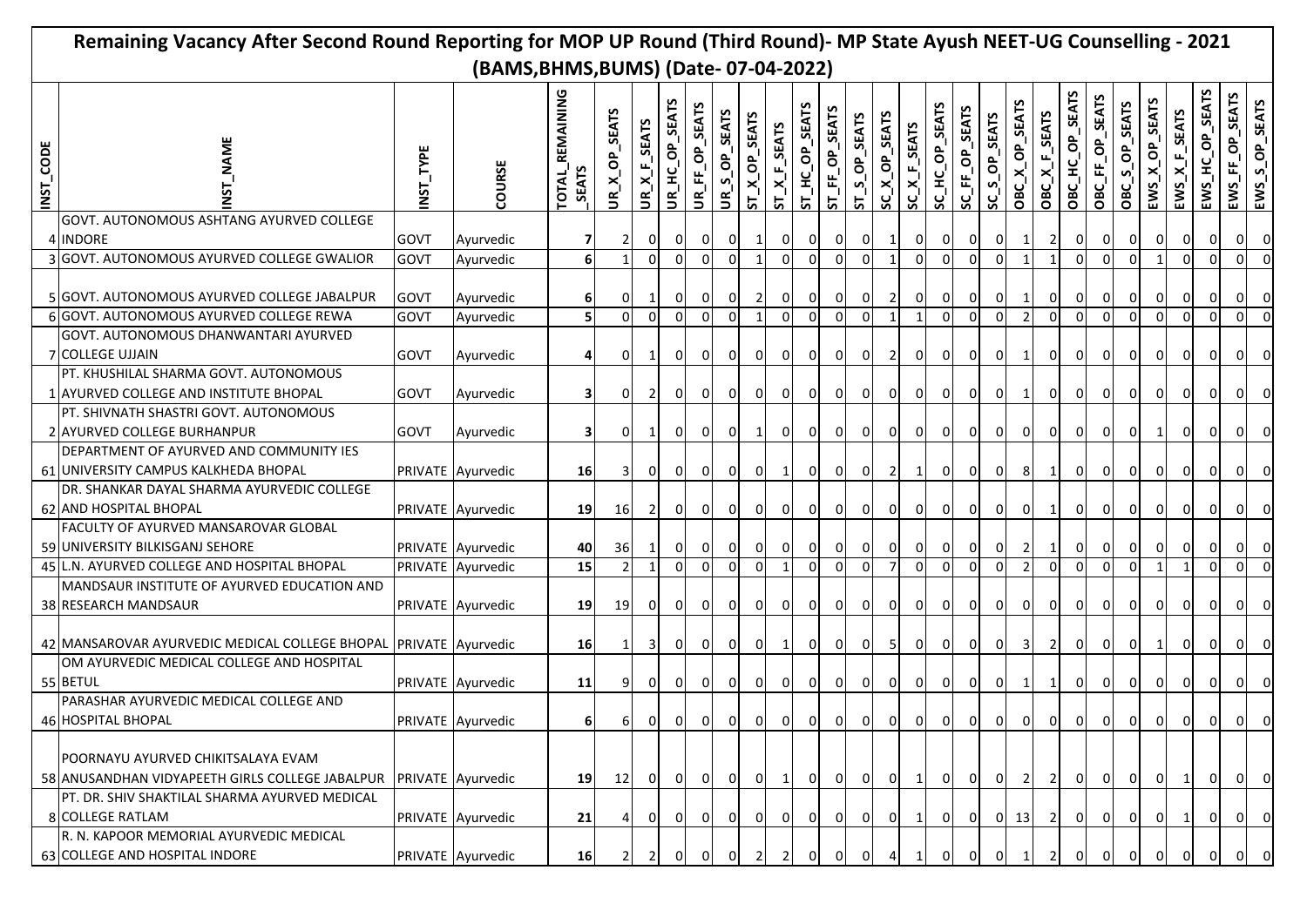|                                      | Remaining Vacancy After Second Round Reporting for MOP UP Round (Third Round)- MP State Ayush NEET-UG Counselling - 2021 |                    |                   |                                 |                          |                         |                          |                |                |                    |                   |                |                |                |                |                  |                |                |                |                |                    |                 |                 |                  |                                   |                              |                     |                 |                         |
|--------------------------------------|--------------------------------------------------------------------------------------------------------------------------|--------------------|-------------------|---------------------------------|--------------------------|-------------------------|--------------------------|----------------|----------------|--------------------|-------------------|----------------|----------------|----------------|----------------|------------------|----------------|----------------|----------------|----------------|--------------------|-----------------|-----------------|------------------|-----------------------------------|------------------------------|---------------------|-----------------|-------------------------|
| (BAMS, BHMS, BUMS) (Date-07-04-2022) |                                                                                                                          |                    |                   |                                 |                          |                         |                          |                |                |                    |                   |                |                |                |                |                  |                |                |                |                |                    |                 |                 |                  |                                   |                              |                     |                 |                         |
| INST_CODE                            |                                                                                                                          | TYPE<br><b>NST</b> | COURSE            | TOTAL_REMAINING<br><b>SEATS</b> | <b>SEATS</b><br>JR X_OP_ | UR_X_F_SEATS            | <b>SEATS</b><br>JR_HC_OP | UR_FF_OP_SEATS | UR_S_OP_SEATS  | $ST\_X\_OP\_SEATS$ | $ST\_X\_F\_SEATS$ | ST_HC_OP_SEATS | ST_FF_OP_SEATS | ST_S_OP_SEATS  | SC_X_OP_SEATS  | $SC\_X_F$ _SEATS | SC_HC_OP_SEATS | SC_FF_OP_SEATS | SC_S_OP_SEATS  | OBC_X_OP_SEATS | OBC_X_F_SEATS      | OBC_HC_OP_SEATS | OBC_FF_OP_SEATS | OP_SEATS<br>OBCS | OP_SEATS<br>×<br>EWS <sub>.</sub> | $ENSS\_X_F$ <sub>SEATS</sub> | SEATS<br>EWS_HC_OP_ | EWS_FF_OP_SEATS | S_OP_SEATS<br>EWS       |
|                                      | GOVT. AUTONOMOUS ASHTANG AYURVED COLLEGE                                                                                 |                    |                   |                                 |                          |                         |                          |                |                |                    |                   |                |                |                |                |                  |                |                |                |                |                    |                 |                 |                  |                                   |                              |                     |                 |                         |
|                                      | 4 INDORE                                                                                                                 | <b>GOVT</b>        | Ayurvedic         | 71                              |                          | <sup>O</sup>            | 0                        | 0              | ΟI             |                    | 0                 | $\mathbf{0}$   | 0              | $\overline{0}$ |                | 0                | 0              |                |                |                |                    | 01              |                 | <sup>O</sup>     | 01                                |                              | 0                   |                 |                         |
|                                      | 3 GOVT. AUTONOMOUS AYURVED COLLEGE GWALIOR                                                                               | <b>GOVT</b>        | Ayurvedic         | $6 \overline{6}$                |                          | $\Omega$                | $\mathbf{0}$             | $\Omega$       | $\mathbf{0}$   |                    | $\Omega$          | $\overline{0}$ | $\Omega$       | $\Omega$       |                | $\Omega$         | $\Omega$       | $\Omega$       |                |                |                    | $\Omega$        | $\Omega$        | $\Omega$         | $\overline{1}$                    | $\Omega$                     |                     |                 |                         |
|                                      | 5 GOVT. AUTONOMOUS AYURVED COLLEGE JABALPUR                                                                              | <b>GOVT</b>        | Ayurvedic         | 61                              | 01                       |                         | 01                       | 0              | $\overline{0}$ |                    | $\overline{0}$    | 0              | ΟI             | $\overline{0}$ | $\overline{2}$ | οı               | 0              |                | 0              |                | 01                 | 01              | 01              | ΟI               | $\overline{0}$                    |                              | 0 I                 |                 |                         |
|                                      | <b>GOVT. AUTONOMOUS AYURVED COLLEGE REWA</b>                                                                             | GOVT               | Ayurvedic         | 5                               | ΩI                       | $\Omega$                | $\Omega$                 | $\Omega$       |                |                    | $\Omega$          | $\Omega$       | $\Omega$       | $\Omega$       |                | $\mathbf{1}$     | $\Omega$       | $\Omega$       |                | $\overline{2}$ | $\Omega$           | $\Omega$        | $\Omega$        | $\Omega$         | $\Omega$                          | $\Omega$                     |                     |                 | $\Omega$                |
|                                      | GOVT. AUTONOMOUS DHANWANTARI AYURVED                                                                                     |                    |                   |                                 |                          |                         |                          |                |                |                    |                   |                |                |                |                |                  |                |                |                |                |                    |                 |                 |                  |                                   |                              |                     |                 |                         |
|                                      | <b>7 COLLEGE UJJAIN</b><br>PT. KHUSHILAL SHARMA GOVT. AUTONOMOUS                                                         | <b>GOVT</b>        | Ayurvedic         | 41                              | οı                       |                         | $\Omega$                 | $\Omega$       | 0              | $\Omega$           | $\overline{0}$    | 0I             | 01             | οI             |                | οI               | $\Omega$       | $\Omega$       | $\Omega$       |                | $\Omega$           | 0 I             | 0I              | οı               | $\Omega$                          | 0                            | ΩI                  |                 |                         |
|                                      | 1 AYURVED COLLEGE AND INSTITUTE BHOPAL                                                                                   | <b>GOVT</b>        | Ayurvedic         | 31                              |                          |                         | 0                        |                | $\Omega$       |                    |                   | $\overline{0}$ | $\overline{0}$ | $\overline{0}$ | ΟI             | 0                | $\Omega$       |                |                |                | 0                  | $\mathbf{0}$    | $\overline{0}$  |                  | 01                                |                              |                     |                 |                         |
|                                      | PT. SHIVNATH SHASTRI GOVT. AUTONOMOUS                                                                                    |                    |                   |                                 |                          |                         |                          |                |                |                    |                   |                |                |                |                |                  |                |                |                |                |                    |                 |                 |                  |                                   |                              |                     |                 |                         |
|                                      | 2 AYURVED COLLEGE BURHANPUR                                                                                              | <b>GOVT</b>        | Ayurvedic         | 31                              | $\overline{0}$           |                         | $\overline{0}$           | 0              | $\overline{0}$ |                    | $\overline{0}$    | $\overline{0}$ | $\overline{0}$ | $\overline{0}$ | $\overline{0}$ | $\overline{0}$   | $\overline{0}$ | $\overline{0}$ | $\overline{0}$ | $\mathbf{0}$   | $\overline{0}$     | $\overline{0}$  | $\overline{0}$  | $\overline{0}$   | 1                                 |                              | 01                  |                 |                         |
|                                      | DEPARTMENT OF AYURVED AND COMMUNITY IES                                                                                  |                    |                   |                                 |                          |                         |                          |                |                |                    |                   |                |                |                |                |                  |                |                |                |                |                    |                 |                 |                  |                                   |                              |                     |                 |                         |
|                                      | 61 UNIVERSITY CAMPUS KALKHEDA BHOPAL                                                                                     |                    | PRIVATE Ayurvedic | 16                              | 31                       | 0                       | $\overline{0}$           | 0              | $\overline{0}$ | $\overline{0}$     | 11                | $\mathsf{O}$   | $\overline{0}$ | $\overline{0}$ | $\overline{2}$ | $\vert$ 1        | $\overline{0}$ | $\overline{0}$ | $\overline{0}$ | 8              |                    | $\overline{0}$  | $\overline{0}$  | $\overline{0}$   | $\overline{0}$                    | 0                            | 0 I                 |                 |                         |
|                                      | DR. SHANKAR DAYAL SHARMA AYURVEDIC COLLEGE<br>62 AND HOSPITAL BHOPAL                                                     |                    | PRIVATE Ayurvedic | 19                              | 16                       | <b>21</b>               | $\overline{0}$           | 0              | $\overline{0}$ | 0                  | $\overline{0}$    | $\overline{0}$ | οI             | $\overline{0}$ | $\mathbf{0}$   | 0I               | $\overline{0}$ | 0 I            | $\overline{0}$ | 0              |                    | $\overline{0}$  | οI              | ΟI               | 0                                 | 01                           | 0                   |                 |                         |
|                                      | FACULTY OF AYURVED MANSAROVAR GLOBAL<br>59 UNIVERSITY BILKISGANJ SEHORE                                                  |                    | PRIVATE Ayurvedic | 40                              | 36                       |                         | $\overline{0}$           | 0              | $\overline{0}$ | - O I              | 0 I               | $\overline{0}$ | 0              | $\overline{0}$ | ΟI             | ΟI               | $\overline{0}$ | 01             | $\overline{0}$ | $\overline{2}$ |                    | $\overline{0}$  | $\overline{0}$  | 0                | $\overline{0}$                    | 0                            | 01                  |                 |                         |
|                                      | 45 L.N. AYURVED COLLEGE AND HOSPITAL BHOPAL                                                                              |                    | PRIVATE Ayurvedic | 15                              | 2I                       | $\mathbf{1}$            | 0                        | $\mathbf 0$    | $\Omega$       | $\Omega$           |                   | $\overline{0}$ | $\Omega$       | οI             | $\overline{7}$ | $\overline{0}$   | $\Omega$       | $\Omega$       | $\Omega$       | $\overline{2}$ | $\overline{0}$     | $\Omega$        | οI              | οI               | $\overline{1}$                    | 1                            | $\Omega$            | ΩI              |                         |
|                                      | MANDSAUR INSTITUTE OF AYURVED EDUCATION AND                                                                              |                    |                   |                                 |                          |                         |                          |                |                |                    |                   |                |                |                |                |                  |                |                |                |                |                    |                 |                 |                  |                                   |                              |                     |                 |                         |
|                                      | 38 RESEARCH MANDSAUR                                                                                                     |                    | PRIVATE Ayurvedic | 19                              | 19                       | οı                      | $\overline{0}$           | $\overline{0}$ | 0 I            | 01                 | - O I             | $\overline{0}$ | 0I             | $\overline{0}$ | 01             | 0 I              | οI             | 01             | - O I          | 0I             | ΟI                 | 0               | 0I              | 01               | 0I                                | 01                           | 01                  |                 |                         |
|                                      | 42 MANSAROVAR AYURVEDIC MEDICAL COLLEGE BHOPAL                                                                           |                    | PRIVATE Ayurvedic | 16 <sup>1</sup>                 |                          | 31                      | $\overline{0}$           | 0              | $\overline{0}$ | $\Omega$           |                   | $\overline{0}$ | οI             | $\overline{0}$ | 5              | 0                | $\overline{0}$ | ΟI             | $\overline{0}$ | 31             | $\mathbf{2}$       | $\overline{0}$  | 0I              | $\mathbf{0}$     | 1                                 | 0                            | $\Omega$            |                 | 0                       |
|                                      | OM AYURVEDIC MEDICAL COLLEGE AND HOSPITAL<br>55 BETUL                                                                    |                    | PRIVATE Ayurvedic | 11                              |                          | ΟI                      | $\overline{0}$           | $\overline{0}$ | $\overline{0}$ | $\overline{0}$     | 0                 | $\overline{0}$ | $\overline{0}$ | 0              | $\overline{0}$ | 0                | $\overline{0}$ | $\overline{0}$ | $\overline{0}$ | $1\vert$       | $1\vert$           | $\overline{0}$  | 0               | $\overline{0}$   | $\overline{0}$                    | $\overline{0}$               | $\overline{0}$      |                 | 0                       |
|                                      | PARASHAR AYURVEDIC MEDICAL COLLEGE AND<br>46 HOSPITAL BHOPAL                                                             |                    | PRIVATE Ayurvedic |                                 | $6 \mid$                 | 0                       | $\overline{0}$           | $\overline{0}$ | 0              | $\overline{0}$     | 0                 | $\overline{0}$ | 0              | $\mathbf{0}$   | $\overline{0}$ | $\overline{0}$   | $\circ$        | $\overline{0}$ | 0              | $\overline{0}$ | $\overline{0}$     | 0               | 0               | 0                | 0                                 |                              |                     | ப               | ∣∪                      |
|                                      | POORNAYU AYURVED CHIKITSALAYA EVAM<br>58 ANUSANDHAN VIDYAPEETH GIRLS COLLEGE JABALPUR                                    |                    | PRIVATE Ayurvedic | 19                              | 12                       | $\overline{\mathbf{0}}$ | $\overline{0}$           | $\overline{0}$ |                | $0\vert 0$         | $1\vert$          | 0              | $\overline{0}$ |                | $0 \bigcup 0$  | $\overline{1}$   | $\overline{0}$ |                | $0 \quad 0$    | <sup>2</sup>   | $\overline{2}$     | $\overline{0}$  | $\overline{0}$  | $\overline{0}$   | $\overline{0}$                    | $\overline{1}$               | 0                   | 0 I             | $\overline{\mathbf{0}}$ |
|                                      | PT. DR. SHIV SHAKTILAL SHARMA AYURVED MEDICAL<br>8 COLLEGE RATLAM                                                        |                    | PRIVATE Ayurvedic | 21                              |                          | ΟI                      | <sup>O</sup>             | $\overline{0}$ | $\overline{0}$ | 0 I                | 0                 | $\overline{0}$ | $\overline{0}$ | $\overline{0}$ | $\overline{0}$ | $\vert$ 1        | $\overline{0}$ | 0 I            |                |                | $0 \mid 13 \mid 2$ | 0               | $\overline{0}$  | -0I              | 0                                 | $\mathbf{1}$                 | $\overline{0}$      |                 | - 0                     |
|                                      | R. N. KAPOOR MEMORIAL AYURVEDIC MEDICAL<br>63 COLLEGE AND HOSPITAL INDORE                                                |                    | PRIVATE Ayurvedic | 16                              |                          |                         |                          |                |                |                    |                   |                |                |                |                |                  |                |                |                |                |                    |                 |                 |                  |                                   |                              |                     |                 |                         |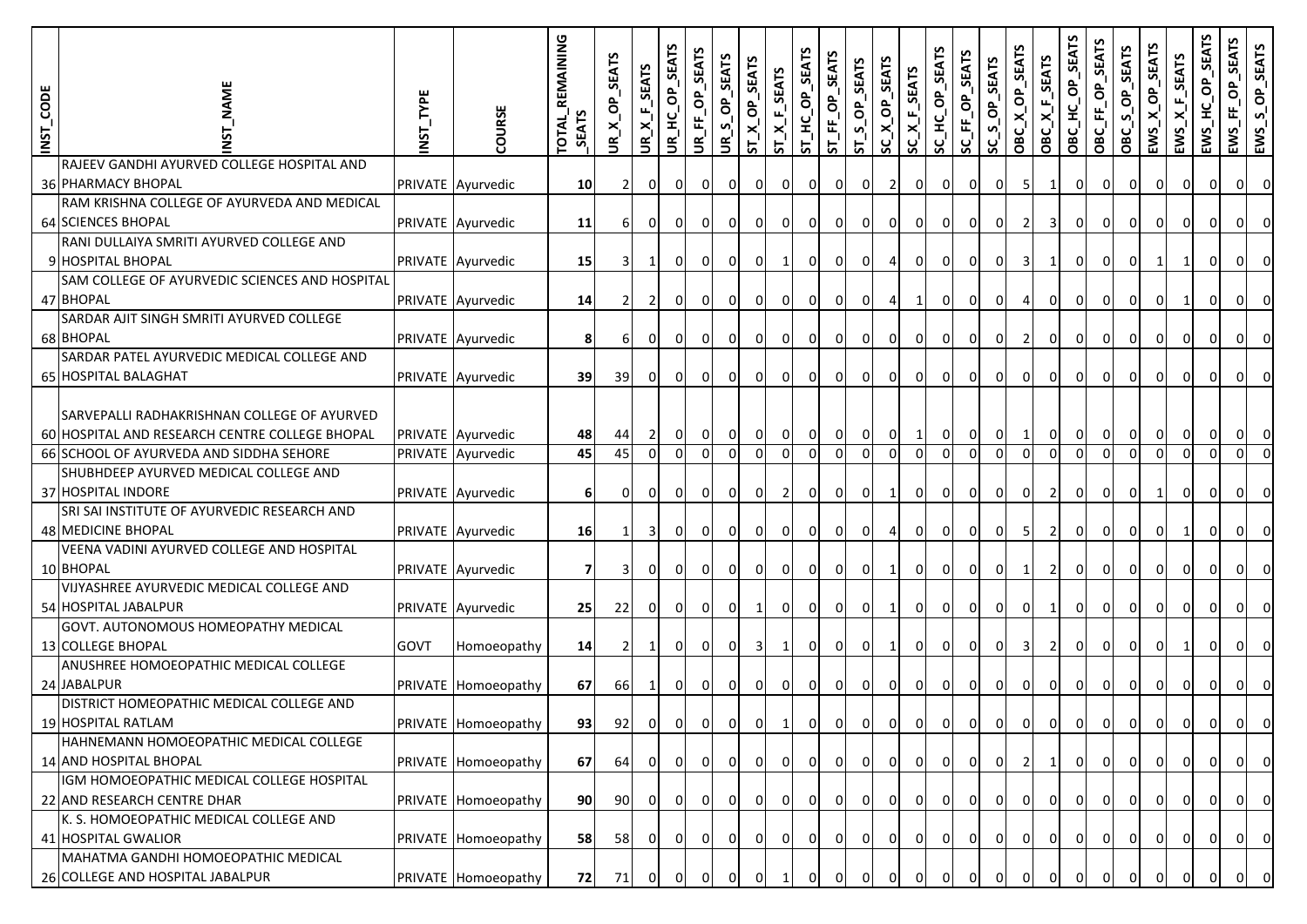| INST_CODE | <b>NAME</b>                                                                                                                              | NST_TYPE    | COURSE                                 | <b>TOTAL_REMAINING</b><br>SEATS | UR_X_OP_SEATS  | UR_X_F_SEATS        | UR_HC_OP_SEATS | JR_FF_OP_SEATS           | SEATS<br>UR_S_OP_   | ST_X_OP_SEATS              | $ST\_X_F$ _SEATS | ST_HC_OP_SEATS             | ST_FF_OP_SEATS             | ST_S_OP_SEATS       | SC_X_OP_SEATS              | $SC\_X_F$ _SEATS          | SC_HC_OP_SEATS             | SC_FF_OP_SEATS | SC_S_OP_SEATS       | OBC_X_OP_SEATS           | OBC_X_F_SEATS        | OBC_HC_OP_SEATS            | OBC_FF_OP_SEATS            | S_OP_SEATS<br><b>DaC</b> | EWS_X_OP_SEATS      | $EWS_{\underline{X}}F_{\underline{S}}EATS$ | EWS_HC_OP_SEATS          | EWS_FF_OP_SEATS            | EWS_S_OP_SEATS          |
|-----------|------------------------------------------------------------------------------------------------------------------------------------------|-------------|----------------------------------------|---------------------------------|----------------|---------------------|----------------|--------------------------|---------------------|----------------------------|------------------|----------------------------|----------------------------|---------------------|----------------------------|---------------------------|----------------------------|----------------|---------------------|--------------------------|----------------------|----------------------------|----------------------------|--------------------------|---------------------|--------------------------------------------|--------------------------|----------------------------|-------------------------|
|           | RAJEEV GANDHI AYURVED COLLEGE HOSPITAL AND<br>36 PHARMACY BHOPAL                                                                         |             | PRIVATE Ayurvedic                      | 10 <sup>1</sup>                 | $\overline{2}$ | $\overline{0}$      | 0I             | $\overline{0}$           | οI                  | $\mathbf{0}$               | 01               | οI                         | $\overline{0}$             | 0                   | 2                          | $\overline{0}$            | οı                         | ΟI             | $\overline{0}$      | 5                        | 1                    | ΟI                         | 0I                         | $\overline{0}$           | 0                   | οı                                         | $\mathbf{0}$             | 01                         | $\overline{0}$          |
|           | RAM KRISHNA COLLEGE OF AYURVEDA AND MEDICAL                                                                                              |             |                                        |                                 |                |                     |                |                          |                     |                            |                  |                            |                            |                     |                            |                           |                            |                |                     |                          |                      |                            |                            |                          |                     |                                            |                          |                            |                         |
|           | 64 SCIENCES BHOPAL                                                                                                                       |             | PRIVATE Ayurvedic                      | 11                              | 61             | ΟI                  | $\Omega$       | 0 I                      | $\overline{0}$      | $\mathbf{0}$               | $\overline{0}$   | οI                         | 0I                         | $\overline{0}$      | οI                         | $\overline{0}$            | οı                         | 01             | $\overline{0}$      | $\overline{2}$           | 3I                   | οı                         | 01                         | $\overline{0}$           | 0                   | οı                                         | 0                        | ΟI                         | 0                       |
|           | RANI DULLAIYA SMRITI AYURVED COLLEGE AND                                                                                                 |             |                                        |                                 |                |                     |                |                          |                     |                            |                  |                            |                            |                     |                            |                           |                            |                |                     |                          |                      |                            |                            |                          |                     |                                            |                          |                            |                         |
|           | 9 HOSPITAL BHOPAL                                                                                                                        |             | PRIVATE Ayurvedic                      | 15 <sup>1</sup>                 | $\mathbf{3}$   | -1                  | $\Omega$       | $\overline{0}$           | 0l                  | $\mathbf{0}$               | $\mathbf{1}$     | οI                         | $\overline{0}$             | 0l                  | $\overline{4}$             | $\overline{0}$            | 0I                         | 01             | $\overline{0}$      | 3                        | 1                    | οI                         | 01                         | $\mathbf{0}$             |                     | $\mathbf{1}$                               | $\overline{0}$           | ΟI                         | 0                       |
|           | SAM COLLEGE OF AYURVEDIC SCIENCES AND HOSPITAL                                                                                           |             |                                        |                                 |                |                     |                |                          |                     |                            |                  |                            |                            |                     |                            |                           |                            |                |                     |                          |                      |                            |                            |                          |                     |                                            |                          |                            |                         |
|           | 47 BHOPAL                                                                                                                                |             | PRIVATE Ayurvedic                      | 14                              | 2              | 2                   | $\Omega$       | 0                        | $\overline{0}$      | $\mathbf{0}$               | $\overline{0}$   | $\overline{0}$             | 0 I                        | $\overline{0}$      | $\overline{a}$             | $\mathbf{1}$              | οI                         | $\Omega$       | $\overline{0}$      |                          | $\overline{0}$       | $\Omega$                   | ΟI                         | $\mathbf{0}$             | $\Omega$            | $\mathbf{1}$                               | $\Omega$                 | ΟI                         | $\Omega$                |
|           | SARDAR AJIT SINGH SMRITI AYURVED COLLEGE<br>68 BHOPAL                                                                                    |             | PRIVATE Ayurvedic                      | 8                               | 6              | $\overline{0}$      | $\mathbf{0}$   | $\mathbf{0}$             | $\overline{0}$      | $\mathbf{0}$               | $\overline{0}$   | $\overline{0}$             | $\overline{0}$             | $\overline{0}$      | $\overline{0}$             | $\overline{0}$            | $\overline{0}$             | $\mathbf{0}$   | $\overline{0}$      | $\overline{2}$           | $\overline{0}$       | 0                          | 0                          | $\overline{0}$           | $\overline{0}$      | $\overline{0}$                             | $\mathbf{0}$             | ΟI                         | $\overline{0}$          |
|           | SARDAR PATEL AYURVEDIC MEDICAL COLLEGE AND                                                                                               |             |                                        |                                 |                |                     |                |                          |                     |                            |                  |                            |                            |                     |                            |                           |                            |                |                     |                          |                      |                            |                            |                          |                     |                                            |                          |                            |                         |
|           | 65 HOSPITAL BALAGHAT                                                                                                                     |             | PRIVATE Ayurvedic                      | 39                              | 39             | $\overline{0}$      | $\overline{0}$ | $\overline{0}$           | $\overline{0}$      | $\overline{0}$             | 0                | $\mathbf{0}$               | $\overline{0}$             | $\overline{0}$      | $\overline{0}$             | $\overline{0}$            | $\overline{0}$             | $\overline{0}$ | 0                   | $\overline{0}$           | $\overline{0}$       | $\overline{0}$             | $\overline{0}$             | $\overline{0}$           | $\overline{0}$      | $\overline{0}$                             | $\overline{0}$           | 0I                         | $\overline{0}$          |
|           | SARVEPALLI RADHAKRISHNAN COLLEGE OF AYURVED<br>60 HOSPITAL AND RESEARCH CENTRE COLLEGE BHOPAL<br>66 SCHOOL OF AYURVEDA AND SIDDHA SEHORE |             | PRIVATE Ayurvedic<br>PRIVATE Ayurvedic | 48<br>45                        | 44<br>45       | $\overline{2}$<br>0 | 0<br>$\Omega$  | $\mathbf{0}$<br>$\Omega$ | $\overline{0}$<br>0 | $\overline{0}$<br>$\Omega$ | 0 <br>0 I        | $\overline{0}$<br>$\Omega$ | $\overline{0}$<br>$\Omega$ | $\overline{0}$<br>0 | $\overline{0}$<br>$\Omega$ | $\vert$ 1<br>$\mathbf{0}$ | $\overline{0}$<br>$\Omega$ | 0<br>$\Omega$  | $\overline{0}$<br>0 | $\mathbf{1}$<br>$\Omega$ | $\overline{0}$<br>οI | $\overline{0}$<br>$\Omega$ | $\overline{0}$<br>$\Omega$ | $\overline{0}$<br>0      | $\overline{0}$<br>0 | $\overline{0}$<br>$\Omega$                 | $\mathbf{0}$<br>$\Omega$ | $\overline{0}$<br>$\Omega$ | $\overline{0}$          |
|           | SHUBHDEEP AYURVED MEDICAL COLLEGE AND<br>37 HOSPITAL INDORE                                                                              |             | PRIVATE Ayurvedic                      | 6                               | 0              | $\overline{0}$      | 01             | $\overline{0}$           | $\overline{0}$      | $\overline{0}$             | $\overline{2}$   | $\overline{0}$             | 0                          | $\overline{0}$      | $1\vert$                   | $\overline{0}$            | $\overline{0}$             | 01             | 0                   | οI                       | 2I                   | 0                          | 0I                         | $\overline{0}$           |                     | $\overline{0}$                             | 0                        | 01                         | 0                       |
|           | SRI SAI INSTITUTE OF AYURVEDIC RESEARCH AND<br>48 MEDICINE BHOPAL                                                                        |             | PRIVATE Ayurvedic                      | 16                              | 1              | 3 <sub>l</sub>      | 01             | 0 I                      | $\overline{0}$      | 01                         | $\overline{0}$   | 0I                         | $\overline{0}$             | $\overline{0}$      | 41                         | $\overline{0}$            | οI                         | 0 I            | $\overline{0}$      | -51                      | <b>21</b>            | 0l                         | 0 I                        | οI                       | 0 I                 | $\mathbf{1}$                               | 0                        | ΟI                         | 0                       |
|           | VEENA VADINI AYURVED COLLEGE AND HOSPITAL<br>10 BHOPAL                                                                                   |             |                                        |                                 |                |                     |                |                          |                     |                            |                  |                            |                            |                     |                            |                           |                            |                |                     |                          |                      |                            |                            |                          |                     |                                            |                          |                            | $\overline{0}$          |
|           | VIJYASHREE AYURVEDIC MEDICAL COLLEGE AND                                                                                                 |             | PRIVATE Ayurvedic                      | 71                              | 3              | οI                  | $\mathbf{0}$   | 0                        | $\overline{0}$      | $\mathbf{0}$               | $\overline{0}$   | οI                         | $\overline{0}$             | $\overline{0}$      | $\mathbf{1}$               | $\overline{0}$            | $\overline{0}$             | $\mathbf{0}$   | $\overline{0}$      | 1                        | 2I                   | 0l                         | 01                         | $\overline{0}$           | 0                   | 0 I                                        | $\overline{0}$           | ΟI                         |                         |
|           | 54 HOSPITAL JABALPUR                                                                                                                     |             | PRIVATE Ayurvedic                      | 25                              | 22             | $\overline{0}$      | οI             | $\mathbf{0}$             | $\overline{0}$      | $\mathbf{1}$               | $\overline{0}$   | $\overline{0}$             | $\mathbf{0}$               | $\overline{0}$      | $1\vert$                   | $\overline{0}$            | 0                          | 01             | $\overline{0}$      | $\overline{0}$           | $\vert$ 1            | 0                          | 0                          | $\overline{0}$           | 0                   | $\overline{0}$                             | $\mathbf{0}$             | ΟI                         | $\overline{0}$          |
|           | GOVT. AUTONOMOUS HOMEOPATHY MEDICAL                                                                                                      |             |                                        |                                 |                |                     |                |                          |                     |                            |                  |                            |                            |                     |                            |                           |                            |                |                     |                          |                      |                            |                            |                          |                     |                                            |                          |                            |                         |
|           | 13 COLLEGE BHOPAL                                                                                                                        | <b>GOVT</b> | Homoeopathy                            | 14                              | $\overline{2}$ | $\vert$ 1           | $\overline{0}$ | $\overline{0}$           | $\overline{0}$      | $\overline{\mathbf{3}}$    | $\vert$ 1        | $\overline{0}$             | $\mathbf{0}$               | $\overline{0}$      | $\mathbf{1}$               | $\overline{0}$            | $\overline{0}$             | $\overline{0}$ | $\overline{0}$      | $\overline{\mathbf{3}}$  | 2 <sup>1</sup>       | 0                          | $\overline{0}$             | $\overline{0}$           | 0                   | $\mathbf{1}$                               | $\overline{0}$           | $\overline{0}$             | $\overline{0}$          |
|           | ANUSHREE HOMOEOPATHIC MEDICAL COLLEGE                                                                                                    |             |                                        |                                 |                |                     |                |                          |                     |                            |                  |                            |                            |                     |                            |                           |                            |                |                     |                          |                      |                            |                            |                          |                     |                                            |                          |                            |                         |
|           | 24 JABALPUR                                                                                                                              |             | PRIVATE Homoeopathy                    | <b>67</b>                       | 66I            | $\vert$ 1           | 0l             | $\overline{0}$           | $\overline{0}$      | $\overline{0}$             | 0                | $\overline{0}$             | 0I                         | $\overline{0}$      | $\overline{0}$             | $\overline{0}$            | $\overline{0}$             | $\overline{0}$ | 0                   | $\overline{0}$           | $\overline{0}$       | $\overline{0}$             | $\overline{0}$             | 0                        | $\overline{0}$      | $\overline{0}$                             | $\mathbf{0}$             | οI                         | $\overline{0}$          |
|           | <b>DISTRICT HOMEOPATHIC MEDICAL COLLEGE AND</b>                                                                                          |             |                                        |                                 |                |                     |                |                          |                     |                            |                  |                            |                            |                     |                            |                           |                            |                |                     |                          |                      |                            |                            |                          |                     |                                            |                          |                            |                         |
|           | 19 HOSPITAL RATLAM<br>HAHNEMANN HOMOEOPATHIC MEDICAL COLLEGE                                                                             |             | PRIVATE Homoeopathy                    | 93                              | 921            | ΟI                  | <b>U</b>       | $\cup$                   | $\mathbf{0}$        | $\overline{0}$             | 1                | 0                          | ΟJ                         | <sup>O</sup>        | $\mathbf{0}$               | <sup>O</sup>              | $\cup$                     | ΟI             | ΟI                  | <sup>O</sup>             | ΟJ                   | ΟI                         | ΟI                         | ΟI                       | υ                   | υı                                         | υI                       | <sup>O</sup>               | -0                      |
|           | 14 AND HOSPITAL BHOPAL                                                                                                                   |             | PRIVATE Homoeopathy                    | 671                             | 64             | 01                  | 0 I            | 0 I                      | $\overline{0}$      | 0 I                        | 0                | $\overline{\mathbf{0}}$    | 0 I                        | $\overline{0}$      | $\overline{0}$             | $\overline{0}$            | 0 I                        | 0 I            | $\overline{0}$      | <sup>2</sup>             | $\mathbf{1}$         | 0I                         | 0 I                        | 0 I                      | 0 I                 | 0 I                                        | 01                       | 0 I                        | $\overline{\mathbf{0}}$ |
|           | IGM HOMOEOPATHIC MEDICAL COLLEGE HOSPITAL                                                                                                |             |                                        |                                 |                |                     |                |                          |                     |                            |                  |                            |                            |                     |                            |                           |                            |                |                     |                          |                      |                            |                            |                          |                     |                                            |                          |                            |                         |
|           | 22 AND RESEARCH CENTRE DHAR                                                                                                              |             | PRIVATE Homoeopathy                    | 90                              | 90             | 0 I                 | 0 I            | 0 I                      | $\overline{0}$      | 0 I                        | 01               | $\overline{0}$             | 0 I                        | $\overline{0}$      | 0 I                        | 0                         | - O I                      | 0 I            | $\overline{0}$      | 01                       | $\overline{0}$       | 0 I                        | 0 I                        | 0I                       | 0 I                 | 0 I                                        | 01                       | $\overline{O}$             | $\overline{0}$          |
|           | K. S. HOMOEOPATHIC MEDICAL COLLEGE AND                                                                                                   |             |                                        |                                 |                |                     |                |                          |                     |                            |                  |                            |                            |                     |                            |                           |                            |                |                     |                          |                      |                            |                            |                          |                     |                                            |                          |                            |                         |
|           | 41 HOSPITAL GWALIOR                                                                                                                      |             | PRIVATE Homoeopathy                    | 58                              | 58             | 0 I                 | 0I             | 0 I                      | $\overline{0}$      | 0 I                        | $\overline{0}$   | - Ol                       | 0 I                        | $\overline{0}$      | $\overline{0}$             | $\overline{0}$            | $\overline{0}$             | 0 I            | 0l                  | 0I                       | $\overline{0}$       | 01                         | 0I                         | -01                      | 0 I                 | 0 I                                        | 01                       |                            | $0\qquad 0$             |
|           | MAHATMA GANDHI HOMOEOPATHIC MEDICAL<br>26 COLLEGE AND HOSPITAL JABALPUR                                                                  |             | PRIVATE Homoeopathy                    | 72                              | 71             | 0 I                 |                |                          | $\Omega$            |                            |                  |                            |                            | $\Omega$            |                            | οı                        |                            |                | $\Omega$            |                          | οı                   |                            |                            |                          |                     |                                            | 01                       |                            |                         |